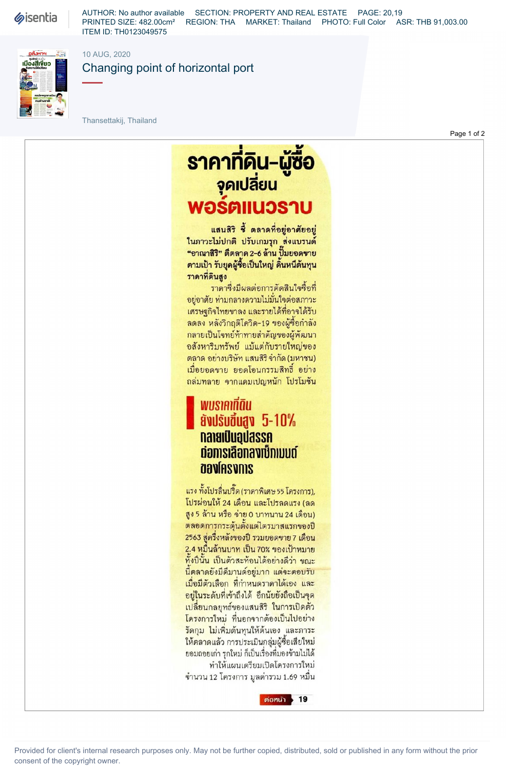**Sisentia** 

AUTHOR: No author available SECTION: PROPERTY AND REAL ESTATE PAGE: 20,19 PRINTED SIZE: 482.00cm<sup>2</sup> REGION: THA MARKET: Thailand PHOTO: Full Color ASR: THB 91,003.00 ITEM ID: TH0123049575



10 AUG. 2020

Changing point of horizontal port

Thansettakij, Thailand

<u>ราคาทิคิน-ผู้ซื้อ</u> จุดเปลี่ยน **WOŚAIIUOSJU** 

แสนสิริ ซี้ ตลาดที่อยู่อาศัยอยู่ ในภาวะไม่ปกติ ปรับเกมรุก ส่งแบรนด์ "อาณาสิริ" ตีตลาด 2-6 ล้าน ปั๊มยอดขาย ตามเป้า รับยุคผู้ซื้อเป็นใหญ่ ดินหนีต้นทุน ราคาที่ดินสูง

ราคาซึ่งมีผลต่อการตัดสินใจซื้อที่ อยู่อาศัย ท่ามกลางความไม่มันใจต่อสภาวะ เศรษฐกิจไทยขาลง และรายได้ที่อาจได้รับ ลดลง หลังวิกฤติโควิด-19 ของผู้ซื้อกำลัง กลายเป็นโจทย์ท้าทายสำคัญของผู้พัฒนา อสังหาริมทรัพย์ แม้แต่กับรายใหญ่ของ ตลาด อย่างบริษัท แสนสิริจำกัด (มหาชน) เมื่อยอดขาย ยอดโอนกรรมสิทธิ์ อย่าง ถล่มทลาย จากแคมเปญหนัก โปรโมชัน

## พบราคาที่ดิน **ävdsudugv 5-10%** ทลายเป็นอุปสรรค ต่อการเลือกลงเซ็กเมนต์ **aaviesvois**

แรง ทั้งโปรลื่นปริ๊ด (ราดาพิเศษ 55 โครงการ), โปรผ่อนให้ 24 เดือน และโปรลดแรง (ลด สูง 5 ล้าน หรือ จ่าย 0 บาทนาน 24 เดือน) ตลอดการกระตุ้นตั้งแต่ไตรมาสแรกของปี 2563 สู่ครึ่งหลังของปี รวมยอดขาย 7 เดือน 2.4 หมื่นล้านบาท เป็น 70% ของเป้าหมาย ทั้งปีนั้น เป็นตัวสะท้อนได้อย่างดีว่า ขณะ นี้ตลาดยังมีดีมานด์อยู่มาก แต่จะตอบรับ เมื่อมีตัวเลือก ที่กำหนดราคาได้เอง และ อยู่ในระดับที่เข้าถึงได้ อีกนัยยังถือเป็นจุด เปลี่ยนกลยุทธ์ของแสนสิริ ในการเปิดตัว โครงการใหม่ ที่นอกจากต้องเป็นไปอย่าง รัดกุม ไม่เพิ่มต้นทุนให้ต้นเอง และภาระ ให้ตลาดแล้ว การประเมินกลุ่มผู้ซื้อเสียใหม่ ยอมถอยเก่า รุกใหม่ ก็เป็นเรื่องที่มองข้ามไม่ได้ ทำให้แผนเตรียมเปิดโครงการใหม่ จำนวน 12 โครงการ มูลค่ารวม 1.69 หมื่น

ต่อหน้า  $> 19$ 

Provided for client's internal research purposes only. May not be further copied, distributed, sold or published in any form without the prior consent of the copyright owner.

Page 1 of 2